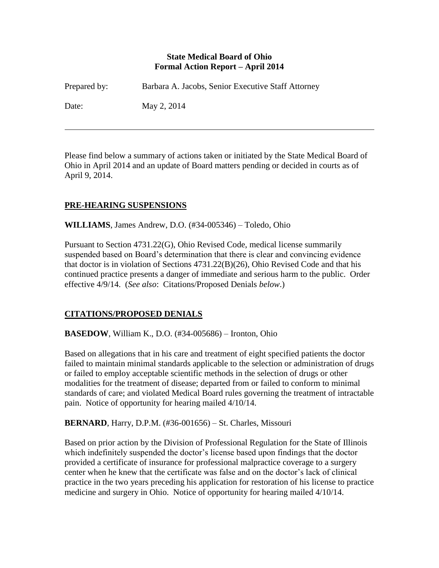#### **State Medical Board of Ohio Formal Action Report – April 2014**

| Prepared by: | Barbara A. Jacobs, Senior Executive Staff Attorney |
|--------------|----------------------------------------------------|
| Date:        | May 2, 2014                                        |

Please find below a summary of actions taken or initiated by the State Medical Board of Ohio in April 2014 and an update of Board matters pending or decided in courts as of April 9, 2014.

### **PRE-HEARING SUSPENSIONS**

**WILLIAMS**, James Andrew, D.O. (#34-005346) – Toledo, Ohio

Pursuant to Section 4731.22(G), Ohio Revised Code, medical license summarily suspended based on Board's determination that there is clear and convincing evidence that doctor is in violation of Sections 4731.22(B)(26), Ohio Revised Code and that his continued practice presents a danger of immediate and serious harm to the public. Order effective 4/9/14. (*See also*: Citations/Proposed Denials *below*.)

### **CITATIONS/PROPOSED DENIALS**

### **BASEDOW**, William K., D.O. (#34-005686) – Ironton, Ohio

Based on allegations that in his care and treatment of eight specified patients the doctor failed to maintain minimal standards applicable to the selection or administration of drugs or failed to employ acceptable scientific methods in the selection of drugs or other modalities for the treatment of disease; departed from or failed to conform to minimal standards of care; and violated Medical Board rules governing the treatment of intractable pain. Notice of opportunity for hearing mailed 4/10/14.

**BERNARD**, Harry, D.P.M. (#36-001656) – St. Charles, Missouri

Based on prior action by the Division of Professional Regulation for the State of Illinois which indefinitely suspended the doctor's license based upon findings that the doctor provided a certificate of insurance for professional malpractice coverage to a surgery center when he knew that the certificate was false and on the doctor's lack of clinical practice in the two years preceding his application for restoration of his license to practice medicine and surgery in Ohio. Notice of opportunity for hearing mailed 4/10/14.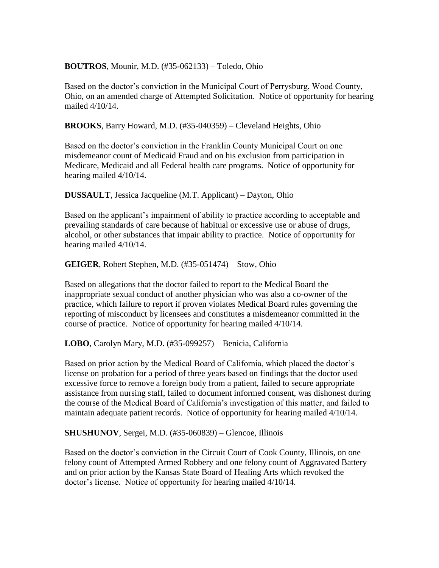#### **BOUTROS**, Mounir, M.D. (#35-062133) – Toledo, Ohio

Based on the doctor's conviction in the Municipal Court of Perrysburg, Wood County, Ohio, on an amended charge of Attempted Solicitation. Notice of opportunity for hearing mailed 4/10/14.

**BROOKS**, Barry Howard, M.D. (#35-040359) – Cleveland Heights, Ohio

Based on the doctor's conviction in the Franklin County Municipal Court on one misdemeanor count of Medicaid Fraud and on his exclusion from participation in Medicare, Medicaid and all Federal health care programs. Notice of opportunity for hearing mailed 4/10/14.

**DUSSAULT**, Jessica Jacqueline (M.T. Applicant) – Dayton, Ohio

Based on the applicant's impairment of ability to practice according to acceptable and prevailing standards of care because of habitual or excessive use or abuse of drugs, alcohol, or other substances that impair ability to practice. Notice of opportunity for hearing mailed 4/10/14.

**GEIGER**, Robert Stephen, M.D. (#35-051474) – Stow, Ohio

Based on allegations that the doctor failed to report to the Medical Board the inappropriate sexual conduct of another physician who was also a co-owner of the practice, which failure to report if proven violates Medical Board rules governing the reporting of misconduct by licensees and constitutes a misdemeanor committed in the course of practice. Notice of opportunity for hearing mailed 4/10/14.

**LOBO**, Carolyn Mary, M.D. (#35-099257) – Benicia, California

Based on prior action by the Medical Board of California, which placed the doctor's license on probation for a period of three years based on findings that the doctor used excessive force to remove a foreign body from a patient, failed to secure appropriate assistance from nursing staff, failed to document informed consent, was dishonest during the course of the Medical Board of California's investigation of this matter, and failed to maintain adequate patient records. Notice of opportunity for hearing mailed 4/10/14.

**SHUSHUNOV**, Sergei, M.D. (#35-060839) – Glencoe, Illinois

Based on the doctor's conviction in the Circuit Court of Cook County, Illinois, on one felony count of Attempted Armed Robbery and one felony count of Aggravated Battery and on prior action by the Kansas State Board of Healing Arts which revoked the doctor's license. Notice of opportunity for hearing mailed 4/10/14.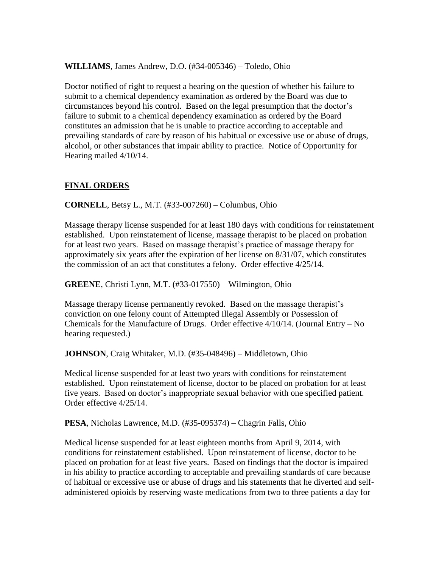**WILLIAMS**, James Andrew, D.O. (#34-005346) – Toledo, Ohio

Doctor notified of right to request a hearing on the question of whether his failure to submit to a chemical dependency examination as ordered by the Board was due to circumstances beyond his control. Based on the legal presumption that the doctor's failure to submit to a chemical dependency examination as ordered by the Board constitutes an admission that he is unable to practice according to acceptable and prevailing standards of care by reason of his habitual or excessive use or abuse of drugs, alcohol, or other substances that impair ability to practice. Notice of Opportunity for Hearing mailed 4/10/14.

## **FINAL ORDERS**

**CORNELL**, Betsy L., M.T. (#33-007260) – Columbus, Ohio

Massage therapy license suspended for at least 180 days with conditions for reinstatement established. Upon reinstatement of license, massage therapist to be placed on probation for at least two years. Based on massage therapist's practice of massage therapy for approximately six years after the expiration of her license on 8/31/07, which constitutes the commission of an act that constitutes a felony. Order effective 4/25/14.

**GREENE**, Christi Lynn, M.T. (#33-017550) – Wilmington, Ohio

Massage therapy license permanently revoked. Based on the massage therapist's conviction on one felony count of Attempted Illegal Assembly or Possession of Chemicals for the Manufacture of Drugs. Order effective 4/10/14. (Journal Entry – No hearing requested.)

**JOHNSON**, Craig Whitaker, M.D. (#35-048496) – Middletown, Ohio

Medical license suspended for at least two years with conditions for reinstatement established. Upon reinstatement of license, doctor to be placed on probation for at least five years. Based on doctor's inappropriate sexual behavior with one specified patient. Order effective 4/25/14.

**PESA**, Nicholas Lawrence, M.D. (#35-095374) – Chagrin Falls, Ohio

Medical license suspended for at least eighteen months from April 9, 2014, with conditions for reinstatement established. Upon reinstatement of license, doctor to be placed on probation for at least five years. Based on findings that the doctor is impaired in his ability to practice according to acceptable and prevailing standards of care because of habitual or excessive use or abuse of drugs and his statements that he diverted and selfadministered opioids by reserving waste medications from two to three patients a day for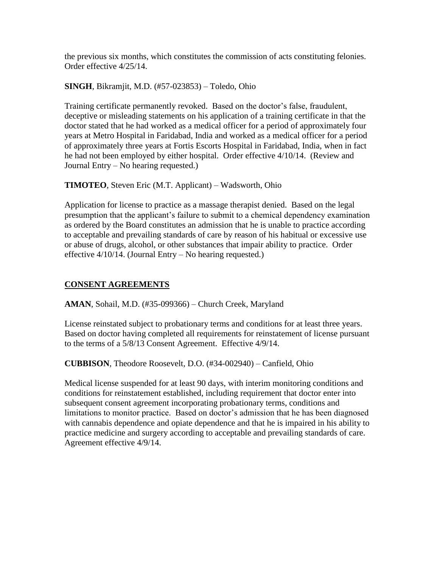the previous six months, which constitutes the commission of acts constituting felonies. Order effective 4/25/14.

**SINGH**, Bikramjit, M.D. (#57-023853) – Toledo, Ohio

Training certificate permanently revoked. Based on the doctor's false, fraudulent, deceptive or misleading statements on his application of a training certificate in that the doctor stated that he had worked as a medical officer for a period of approximately four years at Metro Hospital in Faridabad, India and worked as a medical officer for a period of approximately three years at Fortis Escorts Hospital in Faridabad, India, when in fact he had not been employed by either hospital. Order effective 4/10/14. (Review and Journal Entry – No hearing requested.)

**TIMOTEO**, Steven Eric (M.T. Applicant) – Wadsworth, Ohio

Application for license to practice as a massage therapist denied. Based on the legal presumption that the applicant's failure to submit to a chemical dependency examination as ordered by the Board constitutes an admission that he is unable to practice according to acceptable and prevailing standards of care by reason of his habitual or excessive use or abuse of drugs, alcohol, or other substances that impair ability to practice. Order effective 4/10/14. (Journal Entry – No hearing requested.)

# **CONSENT AGREEMENTS**

**AMAN**, Sohail, M.D. (#35-099366) – Church Creek, Maryland

License reinstated subject to probationary terms and conditions for at least three years. Based on doctor having completed all requirements for reinstatement of license pursuant to the terms of a 5/8/13 Consent Agreement. Effective 4/9/14.

**CUBBISON**, Theodore Roosevelt, D.O. (#34-002940) – Canfield, Ohio

Medical license suspended for at least 90 days, with interim monitoring conditions and conditions for reinstatement established, including requirement that doctor enter into subsequent consent agreement incorporating probationary terms, conditions and limitations to monitor practice. Based on doctor's admission that he has been diagnosed with cannabis dependence and opiate dependence and that he is impaired in his ability to practice medicine and surgery according to acceptable and prevailing standards of care. Agreement effective 4/9/14.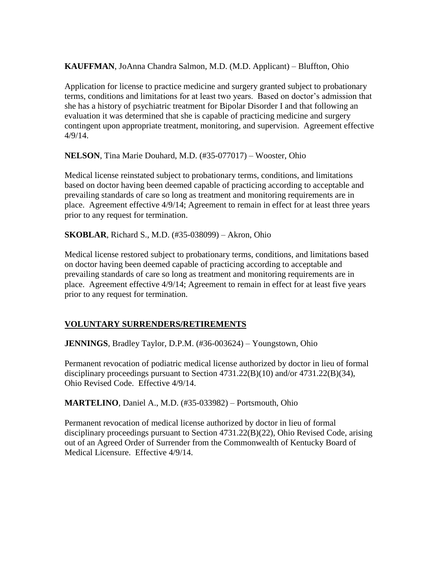**KAUFFMAN**, JoAnna Chandra Salmon, M.D. (M.D. Applicant) – Bluffton, Ohio

Application for license to practice medicine and surgery granted subject to probationary terms, conditions and limitations for at least two years. Based on doctor's admission that she has a history of psychiatric treatment for Bipolar Disorder I and that following an evaluation it was determined that she is capable of practicing medicine and surgery contingent upon appropriate treatment, monitoring, and supervision. Agreement effective 4/9/14.

**NELSON**, Tina Marie Douhard, M.D. (#35-077017) – Wooster, Ohio

Medical license reinstated subject to probationary terms, conditions, and limitations based on doctor having been deemed capable of practicing according to acceptable and prevailing standards of care so long as treatment and monitoring requirements are in place. Agreement effective 4/9/14; Agreement to remain in effect for at least three years prior to any request for termination.

**SKOBLAR**, Richard S., M.D. (#35-038099) – Akron, Ohio

Medical license restored subject to probationary terms, conditions, and limitations based on doctor having been deemed capable of practicing according to acceptable and prevailing standards of care so long as treatment and monitoring requirements are in place. Agreement effective 4/9/14; Agreement to remain in effect for at least five years prior to any request for termination.

### **VOLUNTARY SURRENDERS/RETIREMENTS**

**JENNINGS**, Bradley Taylor, D.P.M. (#36-003624) – Youngstown, Ohio

Permanent revocation of podiatric medical license authorized by doctor in lieu of formal disciplinary proceedings pursuant to Section 4731.22(B)(10) and/or 4731.22(B)(34), Ohio Revised Code. Effective 4/9/14.

**MARTELINO**, Daniel A., M.D. (#35-033982) – Portsmouth, Ohio

Permanent revocation of medical license authorized by doctor in lieu of formal disciplinary proceedings pursuant to Section 4731.22(B)(22), Ohio Revised Code, arising out of an Agreed Order of Surrender from the Commonwealth of Kentucky Board of Medical Licensure. Effective 4/9/14.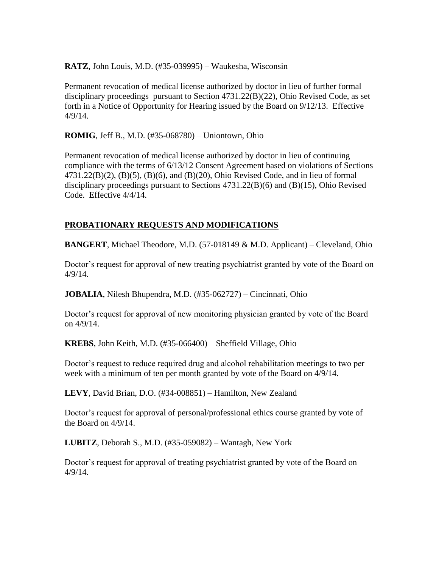**RATZ**, John Louis, M.D. (#35-039995) – Waukesha, Wisconsin

Permanent revocation of medical license authorized by doctor in lieu of further formal disciplinary proceedings pursuant to Section 4731.22(B)(22), Ohio Revised Code, as set forth in a Notice of Opportunity for Hearing issued by the Board on 9/12/13. Effective 4/9/14.

**ROMIG**, Jeff B., M.D. (#35-068780) – Uniontown, Ohio

Permanent revocation of medical license authorized by doctor in lieu of continuing compliance with the terms of 6/13/12 Consent Agreement based on violations of Sections 4731.22(B)(2), (B)(5), (B)(6), and (B)(20), Ohio Revised Code, and in lieu of formal disciplinary proceedings pursuant to Sections 4731.22(B)(6) and (B)(15), Ohio Revised Code. Effective 4/4/14.

## **PROBATIONARY REQUESTS AND MODIFICATIONS**

**BANGERT**, Michael Theodore, M.D. (57-018149 & M.D. Applicant) – Cleveland, Ohio

Doctor's request for approval of new treating psychiatrist granted by vote of the Board on 4/9/14.

**JOBALIA**, Nilesh Bhupendra, M.D. (#35-062727) – Cincinnati, Ohio

Doctor's request for approval of new monitoring physician granted by vote of the Board on 4/9/14.

**KREBS**, John Keith, M.D. (#35-066400) – Sheffield Village, Ohio

Doctor's request to reduce required drug and alcohol rehabilitation meetings to two per week with a minimum of ten per month granted by vote of the Board on 4/9/14.

**LEVY**, David Brian, D.O. (#34-008851) – Hamilton, New Zealand

Doctor's request for approval of personal/professional ethics course granted by vote of the Board on 4/9/14.

**LUBITZ**, Deborah S., M.D. (#35-059082) – Wantagh, New York

Doctor's request for approval of treating psychiatrist granted by vote of the Board on 4/9/14.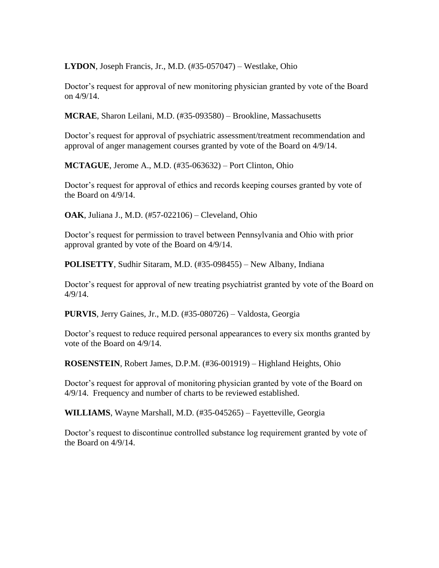**LYDON**, Joseph Francis, Jr., M.D. (#35-057047) – Westlake, Ohio

Doctor's request for approval of new monitoring physician granted by vote of the Board on 4/9/14.

**MCRAE**, Sharon Leilani, M.D. (#35-093580) – Brookline, Massachusetts

Doctor's request for approval of psychiatric assessment/treatment recommendation and approval of anger management courses granted by vote of the Board on 4/9/14.

**MCTAGUE**, Jerome A., M.D. (#35-063632) – Port Clinton, Ohio

Doctor's request for approval of ethics and records keeping courses granted by vote of the Board on 4/9/14.

**OAK**, Juliana J., M.D. (#57-022106) – Cleveland, Ohio

Doctor's request for permission to travel between Pennsylvania and Ohio with prior approval granted by vote of the Board on 4/9/14.

**POLISETTY**, Sudhir Sitaram, M.D. (#35-098455) – New Albany, Indiana

Doctor's request for approval of new treating psychiatrist granted by vote of the Board on 4/9/14.

**PURVIS**, Jerry Gaines, Jr., M.D. (#35-080726) – Valdosta, Georgia

Doctor's request to reduce required personal appearances to every six months granted by vote of the Board on 4/9/14.

**ROSENSTEIN**, Robert James, D.P.M. (#36-001919) – Highland Heights, Ohio

Doctor's request for approval of monitoring physician granted by vote of the Board on 4/9/14. Frequency and number of charts to be reviewed established.

**WILLIAMS**, Wayne Marshall, M.D. (#35-045265) – Fayetteville, Georgia

Doctor's request to discontinue controlled substance log requirement granted by vote of the Board on 4/9/14.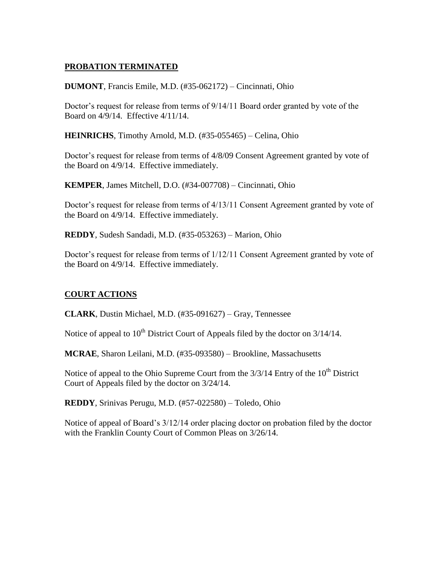## **PROBATION TERMINATED**

**DUMONT**, Francis Emile, M.D. (#35-062172) – Cincinnati, Ohio

Doctor's request for release from terms of 9/14/11 Board order granted by vote of the Board on 4/9/14. Effective 4/11/14.

**HEINRICHS**, Timothy Arnold, M.D. (#35-055465) – Celina, Ohio

Doctor's request for release from terms of 4/8/09 Consent Agreement granted by vote of the Board on 4/9/14. Effective immediately.

**KEMPER**, James Mitchell, D.O. (#34-007708) – Cincinnati, Ohio

Doctor's request for release from terms of 4/13/11 Consent Agreement granted by vote of the Board on 4/9/14. Effective immediately.

**REDDY**, Sudesh Sandadi, M.D. (#35-053263) – Marion, Ohio

Doctor's request for release from terms of 1/12/11 Consent Agreement granted by vote of the Board on 4/9/14. Effective immediately.

### **COURT ACTIONS**

**CLARK**, Dustin Michael, M.D. (#35-091627) – Gray, Tennessee

Notice of appeal to  $10^{th}$  District Court of Appeals filed by the doctor on  $3/14/14$ .

**MCRAE**, Sharon Leilani, M.D. (#35-093580) – Brookline, Massachusetts

Notice of appeal to the Ohio Supreme Court from the  $3/3/14$  Entry of the  $10<sup>th</sup>$  District Court of Appeals filed by the doctor on 3/24/14.

**REDDY**, Srinivas Perugu, M.D. (#57-022580) – Toledo, Ohio

Notice of appeal of Board's 3/12/14 order placing doctor on probation filed by the doctor with the Franklin County Court of Common Pleas on 3/26/14.